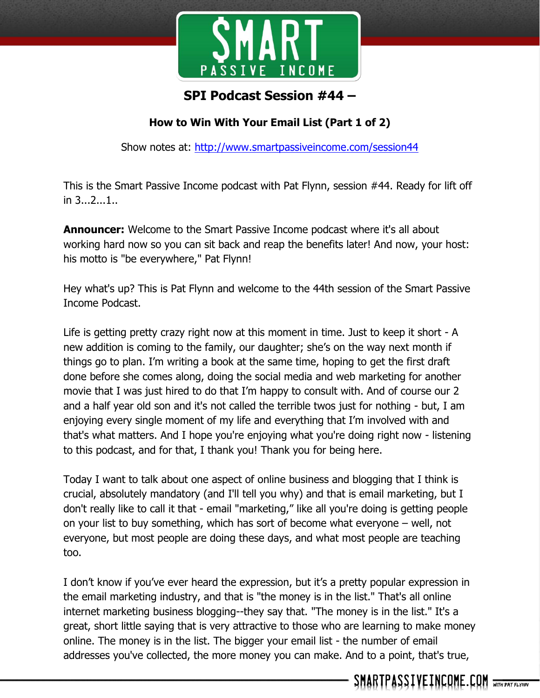

# **SPI Podcast Session #44 –**

## **How to Win With Your Email List (Part 1 of 2)**

Show notes at:<http://www.smartpassiveincome.com/session44>

This is the Smart Passive Income podcast with Pat Flynn, session #44. Ready for lift off in 3...2...1..

**Announcer:** Welcome to the Smart Passive Income podcast where it's all about working hard now so you can sit back and reap the benefits later! And now, your host: his motto is "be everywhere," Pat Flynn!

Hey what's up? This is Pat Flynn and welcome to the 44th session of the Smart Passive Income Podcast.

Life is getting pretty crazy right now at this moment in time. Just to keep it short - A new addition is coming to the family, our daughter; she's on the way next month if things go to plan. I'm writing a book at the same time, hoping to get the first draft done before she comes along, doing the social media and web marketing for another movie that I was just hired to do that I'm happy to consult with. And of course our 2 and a half year old son and it's not called the terrible twos just for nothing - but, I am enjoying every single moment of my life and everything that I'm involved with and that's what matters. And I hope you're enjoying what you're doing right now - listening to this podcast, and for that, I thank you! Thank you for being here.

Today I want to talk about one aspect of online business and blogging that I think is crucial, absolutely mandatory (and I'll tell you why) and that is email marketing, but I don't really like to call it that - email "marketing," like all you're doing is getting people on your list to buy something, which has sort of become what everyone – well, not everyone, but most people are doing these days, and what most people are teaching too.

I don't know if you've ever heard the expression, but it's a pretty popular expression in the email marketing industry, and that is "the money is in the list." That's all online internet marketing business blogging--they say that. "The money is in the list." It's a great, short little saying that is very attractive to those who are learning to make money online. The money is in the list. The bigger your email list - the number of email addresses you've collected, the more money you can make. And to a point, that's true,

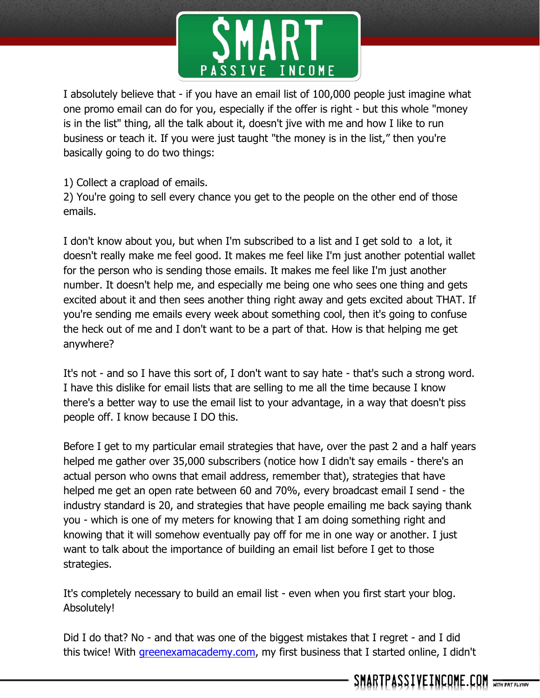

I absolutely believe that - if you have an email list of 100,000 people just imagine what one promo email can do for you, especially if the offer is right - but this whole "money is in the list" thing, all the talk about it, doesn't jive with me and how I like to run business or teach it. If you were just taught "the money is in the list," then you're basically going to do two things:

1) Collect a crapload of emails.

2) You're going to sell every chance you get to the people on the other end of those emails.

I don't know about you, but when I'm subscribed to a list and I get sold to a lot, it doesn't really make me feel good. It makes me feel like I'm just another potential wallet for the person who is sending those emails. It makes me feel like I'm just another number. It doesn't help me, and especially me being one who sees one thing and gets excited about it and then sees another thing right away and gets excited about THAT. If you're sending me emails every week about something cool, then it's going to confuse the heck out of me and I don't want to be a part of that. How is that helping me get anywhere?

It's not - and so I have this sort of, I don't want to say hate - that's such a strong word. I have this dislike for email lists that are selling to me all the time because I know there's a better way to use the email list to your advantage, in a way that doesn't piss people off. I know because I DO this.

Before I get to my particular email strategies that have, over the past 2 and a half years helped me gather over 35,000 subscribers (notice how I didn't say emails - there's an actual person who owns that email address, remember that), strategies that have helped me get an open rate between 60 and 70%, every broadcast email I send - the industry standard is 20, and strategies that have people emailing me back saying thank you - which is one of my meters for knowing that I am doing something right and knowing that it will somehow eventually pay off for me in one way or another. I just want to talk about the importance of building an email list before I get to those strategies.

It's completely necessary to build an email list - even when you first start your blog. Absolutely!

Did I do that? No - and that was one of the biggest mistakes that I regret - and I did this twice! With *greenexamacademy.com*, my first business that I started online, I didn't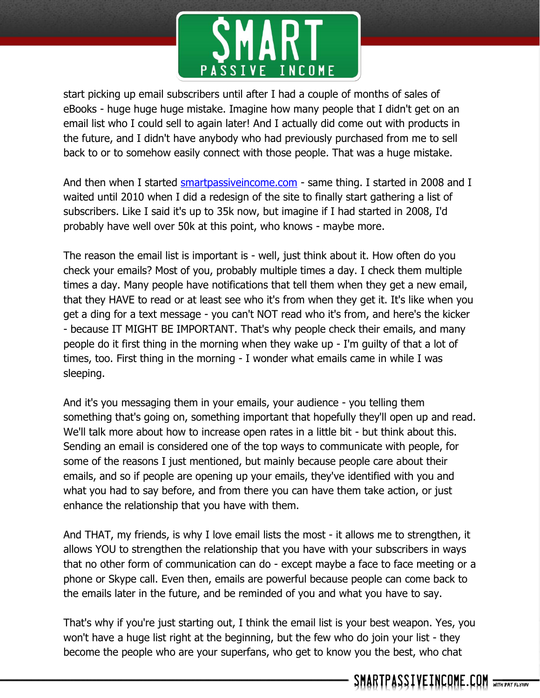

start picking up email subscribers until after I had a couple of months of sales of eBooks - huge huge huge mistake. Imagine how many people that I didn't get on an email list who I could sell to again later! And I actually did come out with products in the future, and I didn't have anybody who had previously purchased from me to sell back to or to somehow easily connect with those people. That was a huge mistake.

And then when I started smartpassive income.com - same thing. I started in 2008 and I waited until 2010 when I did a redesign of the site to finally start gathering a list of subscribers. Like I said it's up to 35k now, but imagine if I had started in 2008, I'd probably have well over 50k at this point, who knows - maybe more.

The reason the email list is important is - well, just think about it. How often do you check your emails? Most of you, probably multiple times a day. I check them multiple times a day. Many people have notifications that tell them when they get a new email, that they HAVE to read or at least see who it's from when they get it. It's like when you get a ding for a text message - you can't NOT read who it's from, and here's the kicker - because IT MIGHT BE IMPORTANT. That's why people check their emails, and many people do it first thing in the morning when they wake up - I'm guilty of that a lot of times, too. First thing in the morning - I wonder what emails came in while I was sleeping.

And it's you messaging them in your emails, your audience - you telling them something that's going on, something important that hopefully they'll open up and read. We'll talk more about how to increase open rates in a little bit - but think about this. Sending an email is considered one of the top ways to communicate with people, for some of the reasons I just mentioned, but mainly because people care about their emails, and so if people are opening up your emails, they've identified with you and what you had to say before, and from there you can have them take action, or just enhance the relationship that you have with them.

And THAT, my friends, is why I love email lists the most - it allows me to strengthen, it allows YOU to strengthen the relationship that you have with your subscribers in ways that no other form of communication can do - except maybe a face to face meeting or a phone or Skype call. Even then, emails are powerful because people can come back to the emails later in the future, and be reminded of you and what you have to say.

That's why if you're just starting out, I think the email list is your best weapon. Yes, you won't have a huge list right at the beginning, but the few who do join your list - they become the people who are your superfans, who get to know you the best, who chat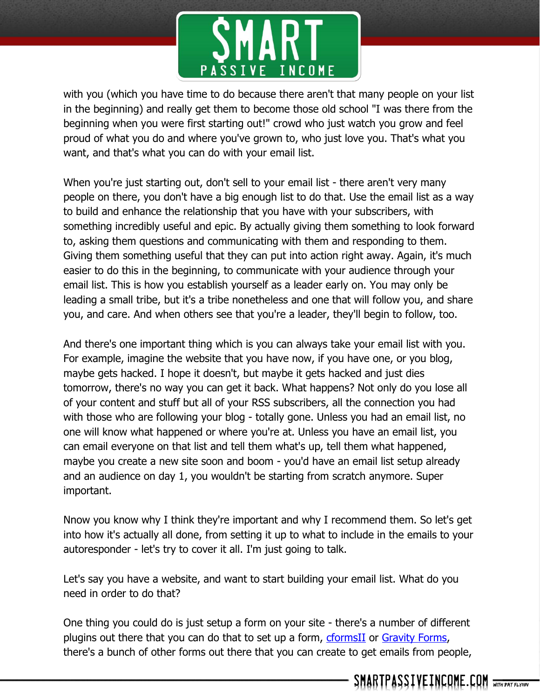

with you (which you have time to do because there aren't that many people on your list in the beginning) and really get them to become those old school "I was there from the beginning when you were first starting out!" crowd who just watch you grow and feel proud of what you do and where you've grown to, who just love you. That's what you want, and that's what you can do with your email list.

When you're just starting out, don't sell to your email list - there aren't very many people on there, you don't have a big enough list to do that. Use the email list as a way to build and enhance the relationship that you have with your subscribers, with something incredibly useful and epic. By actually giving them something to look forward to, asking them questions and communicating with them and responding to them. Giving them something useful that they can put into action right away. Again, it's much easier to do this in the beginning, to communicate with your audience through your email list. This is how you establish yourself as a leader early on. You may only be leading a small tribe, but it's a tribe nonetheless and one that will follow you, and share you, and care. And when others see that you're a leader, they'll begin to follow, too.

And there's one important thing which is you can always take your email list with you. For example, imagine the website that you have now, if you have one, or you blog, maybe gets hacked. I hope it doesn't, but maybe it gets hacked and just dies tomorrow, there's no way you can get it back. What happens? Not only do you lose all of your content and stuff but all of your RSS subscribers, all the connection you had with those who are following your blog - totally gone. Unless you had an email list, no one will know what happened or where you're at. Unless you have an email list, you can email everyone on that list and tell them what's up, tell them what happened, maybe you create a new site soon and boom - you'd have an email list setup already and an audience on day 1, you wouldn't be starting from scratch anymore. Super important.

Nnow you know why I think they're important and why I recommend them. So let's get into how it's actually all done, from setting it up to what to include in the emails to your autoresponder - let's try to cover it all. I'm just going to talk.

Let's say you have a website, and want to start building your email list. What do you need in order to do that?

One thing you could do is just setup a form on your site - there's a number of different plugins out there that you can do that to set up a form, [cformsII](http://www.deliciousdays.com/cforms-plugin/) or [Gravity Forms,](http://www.gravityforms.com/) there's a bunch of other forms out there that you can create to get emails from people,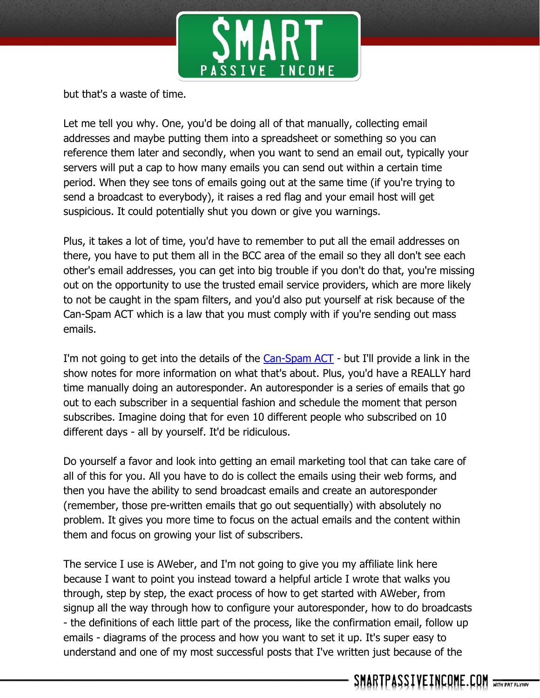

but that's a waste of time.

Let me tell you why. One, you'd be doing all of that manually, collecting email addresses and maybe putting them into a spreadsheet or something so you can reference them later and secondly, when you want to send an email out, typically your servers will put a cap to how many emails you can send out within a certain time period. When they see tons of emails going out at the same time (if you're trying to send a broadcast to everybody), it raises a red flag and your email host will get suspicious. It could potentially shut you down or give you warnings.

Plus, it takes a lot of time, you'd have to remember to put all the email addresses on there, you have to put them all in the BCC area of the email so they all don't see each other's email addresses, you can get into big trouble if you don't do that, you're missing out on the opportunity to use the trusted email service providers, which are more likely to not be caught in the spam filters, and you'd also put yourself at risk because of the Can-Spam ACT which is a law that you must comply with if you're sending out mass emails.

I'm not going to get into the details of the [Can-Spam ACT](http://business.ftc.gov/documents/bus61-can-spam-act-compliance-guide-business) - but I'll provide a link in the show notes for more information on what that's about. Plus, you'd have a REALLY hard time manually doing an autoresponder. An autoresponder is a series of emails that go out to each subscriber in a sequential fashion and schedule the moment that person subscribes. Imagine doing that for even 10 different people who subscribed on 10 different days - all by yourself. It'd be ridiculous.

Do yourself a favor and look into getting an email marketing tool that can take care of all of this for you. All you have to do is collect the emails using their web forms, and then you have the ability to send broadcast emails and create an autoresponder (remember, those pre-written emails that go out sequentially) with absolutely no problem. It gives you more time to focus on the actual emails and the content within them and focus on growing your list of subscribers.

The service I use is AWeber, and I'm not going to give you my affiliate link here because I want to point you instead toward a helpful article I wrote that walks you through, step by step, the exact process of how to get started with AWeber, from signup all the way through how to configure your autoresponder, how to do broadcasts - the definitions of each little part of the process, like the confirmation email, follow up emails - diagrams of the process and how you want to set it up. It's super easy to understand and one of my most successful posts that I've written just because of the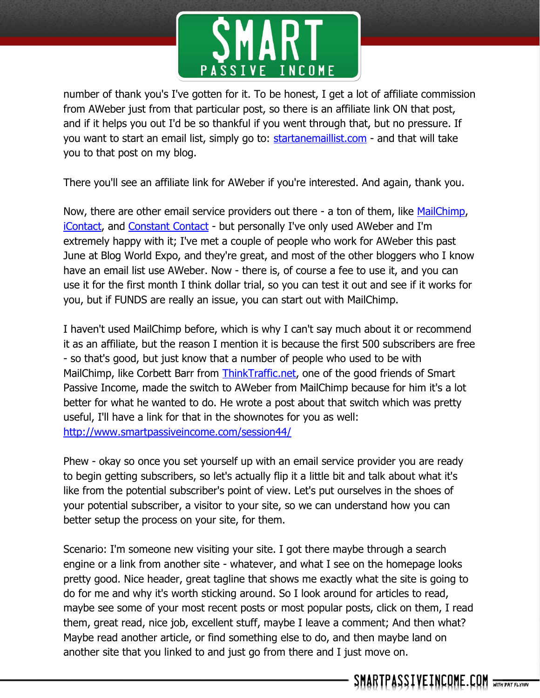

number of thank you's I've gotten for it. To be honest, I get a lot of affiliate commission from AWeber just from that particular post, so there is an affiliate link ON that post, and if it helps you out I'd be so thankful if you went through that, but no pressure. If you want to start an email list, simply go to: [startanemaillist.com](http://startanemaillist.com/) - and that will take you to that post on my blog.

There you'll see an affiliate link for AWeber if you're interested. And again, thank you.

Now, there are other email service providers out there - a ton of them, like [MailChimp,](http://mailchimp.com/) [iContact,](http://www.icontact.com/) and [Constant Contact](http://www.constantcontact.com/) - but personally I've only used AWeber and I'm extremely happy with it; I've met a couple of people who work for AWeber this past June at Blog World Expo, and they're great, and most of the other bloggers who I know have an email list use AWeber. Now - there is, of course a fee to use it, and you can use it for the first month I think dollar trial, so you can test it out and see if it works for you, but if FUNDS are really an issue, you can start out with MailChimp.

I haven't used MailChimp before, which is why I can't say much about it or recommend it as an affiliate, but the reason I mention it is because the first 500 subscribers are free - so that's good, but just know that a number of people who used to be with MailChimp, like Corbett Barr from [ThinkTraffic.net,](http://thinktraffic.net/) one of the good friends of Smart Passive Income, made the switch to AWeber from MailChimp because for him it's a lot better for what he wanted to do. He wrote a post about that switch which was pretty useful, I'll have a link for that in the shownotes for you as well: <http://www.smartpassiveincome.com/session44/>

Phew - okay so once you set yourself up with an email service provider you are ready to begin getting subscribers, so let's actually flip it a little bit and talk about what it's like from the potential subscriber's point of view. Let's put ourselves in the shoes of your potential subscriber, a visitor to your site, so we can understand how you can better setup the process on your site, for them.

Scenario: I'm someone new visiting your site. I got there maybe through a search engine or a link from another site - whatever, and what I see on the homepage looks pretty good. Nice header, great tagline that shows me exactly what the site is going to do for me and why it's worth sticking around. So I look around for articles to read, maybe see some of your most recent posts or most popular posts, click on them, I read them, great read, nice job, excellent stuff, maybe I leave a comment; And then what? Maybe read another article, or find something else to do, and then maybe land on another site that you linked to and just go from there and I just move on.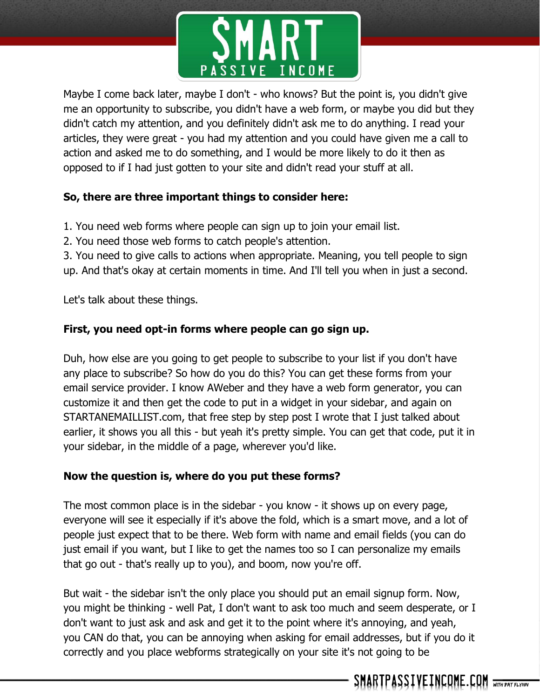

Maybe I come back later, maybe I don't - who knows? But the point is, you didn't give me an opportunity to subscribe, you didn't have a web form, or maybe you did but they didn't catch my attention, and you definitely didn't ask me to do anything. I read your articles, they were great - you had my attention and you could have given me a call to action and asked me to do something, and I would be more likely to do it then as opposed to if I had just gotten to your site and didn't read your stuff at all.

#### **So, there are three important things to consider here:**

- 1. You need web forms where people can sign up to join your email list.
- 2. You need those web forms to catch people's attention.

3. You need to give calls to actions when appropriate. Meaning, you tell people to sign up. And that's okay at certain moments in time. And I'll tell you when in just a second.

Let's talk about these things.

#### **First, you need opt-in forms where people can go sign up.**

Duh, how else are you going to get people to subscribe to your list if you don't have any place to subscribe? So how do you do this? You can get these forms from your email service provider. I know AWeber and they have a web form generator, you can customize it and then get the code to put in a widget in your sidebar, and again on STARTANEMAILLIST.com, that free step by step post I wrote that I just talked about earlier, it shows you all this - but yeah it's pretty simple. You can get that code, put it in your sidebar, in the middle of a page, wherever you'd like.

#### **Now the question is, where do you put these forms?**

The most common place is in the sidebar - you know - it shows up on every page, everyone will see it especially if it's above the fold, which is a smart move, and a lot of people just expect that to be there. Web form with name and email fields (you can do just email if you want, but I like to get the names too so I can personalize my emails that go out - that's really up to you), and boom, now you're off.

But wait - the sidebar isn't the only place you should put an email signup form. Now, you might be thinking - well Pat, I don't want to ask too much and seem desperate, or I don't want to just ask and ask and get it to the point where it's annoying, and yeah, you CAN do that, you can be annoying when asking for email addresses, but if you do it correctly and you place webforms strategically on your site it's not going to be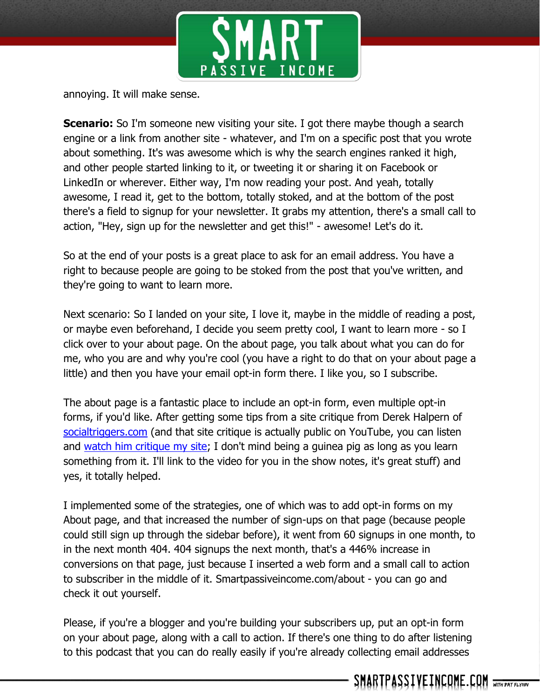

annoying. It will make sense.

**Scenario:** So I'm someone new visiting your site. I got there maybe though a search engine or a link from another site - whatever, and I'm on a specific post that you wrote about something. It's was awesome which is why the search engines ranked it high, and other people started linking to it, or tweeting it or sharing it on Facebook or LinkedIn or wherever. Either way, I'm now reading your post. And yeah, totally awesome, I read it, get to the bottom, totally stoked, and at the bottom of the post there's a field to signup for your newsletter. It grabs my attention, there's a small call to action, "Hey, sign up for the newsletter and get this!" - awesome! Let's do it.

So at the end of your posts is a great place to ask for an email address. You have a right to because people are going to be stoked from the post that you've written, and they're going to want to learn more.

Next scenario: So I landed on your site, I love it, maybe in the middle of reading a post, or maybe even beforehand, I decide you seem pretty cool, I want to learn more - so I click over to your about page. On the about page, you talk about what you can do for me, who you are and why you're cool (you have a right to do that on your about page a little) and then you have your email opt-in form there. I like you, so I subscribe.

The about page is a fantastic place to include an opt-in form, even multiple opt-in forms, if you'd like. After getting some tips from a site critique from Derek Halpern of [socialtriggers.com](http://socialtriggers.com/) (and that site critique is actually public on YouTube, you can listen and [watch him critique my site;](http://www.smartpassiveincome.com/conversion-strategies/) I don't mind being a guinea pig as long as you learn something from it. I'll link to the video for you in the show notes, it's great stuff) and yes, it totally helped.

I implemented some of the strategies, one of which was to add opt-in forms on my About page, and that increased the number of sign-ups on that page (because people could still sign up through the sidebar before), it went from 60 signups in one month, to in the next month 404. 404 signups the next month, that's a 446% increase in conversions on that page, just because I inserted a web form and a small call to action to subscriber in the middle of it. Smartpassiveincome.com/about - you can go and check it out yourself.

Please, if you're a blogger and you're building your subscribers up, put an opt-in form on your about page, along with a call to action. If there's one thing to do after listening to this podcast that you can do really easily if you're already collecting email addresses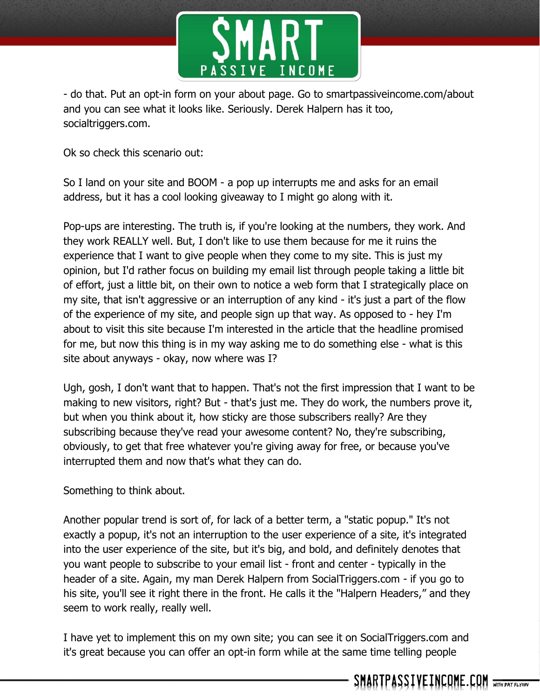

- do that. Put an opt-in form on your about page. Go to smartpassiveincome.com/about and you can see what it looks like. Seriously. Derek Halpern has it too, socialtriggers.com.

Ok so check this scenario out:

So I land on your site and BOOM - a pop up interrupts me and asks for an email address, but it has a cool looking giveaway to I might go along with it.

Pop-ups are interesting. The truth is, if you're looking at the numbers, they work. And they work REALLY well. But, I don't like to use them because for me it ruins the experience that I want to give people when they come to my site. This is just my opinion, but I'd rather focus on building my email list through people taking a little bit of effort, just a little bit, on their own to notice a web form that I strategically place on my site, that isn't aggressive or an interruption of any kind - it's just a part of the flow of the experience of my site, and people sign up that way. As opposed to - hey I'm about to visit this site because I'm interested in the article that the headline promised for me, but now this thing is in my way asking me to do something else - what is this site about anyways - okay, now where was I?

Ugh, gosh, I don't want that to happen. That's not the first impression that I want to be making to new visitors, right? But - that's just me. They do work, the numbers prove it, but when you think about it, how sticky are those subscribers really? Are they subscribing because they've read your awesome content? No, they're subscribing, obviously, to get that free whatever you're giving away for free, or because you've interrupted them and now that's what they can do.

Something to think about.

Another popular trend is sort of, for lack of a better term, a "static popup." It's not exactly a popup, it's not an interruption to the user experience of a site, it's integrated into the user experience of the site, but it's big, and bold, and definitely denotes that you want people to subscribe to your email list - front and center - typically in the header of a site. Again, my man Derek Halpern from SocialTriggers.com - if you go to his site, you'll see it right there in the front. He calls it the "Halpern Headers," and they seem to work really, really well.

I have yet to implement this on my own site; you can see it on SocialTriggers.com and it's great because you can offer an opt-in form while at the same time telling people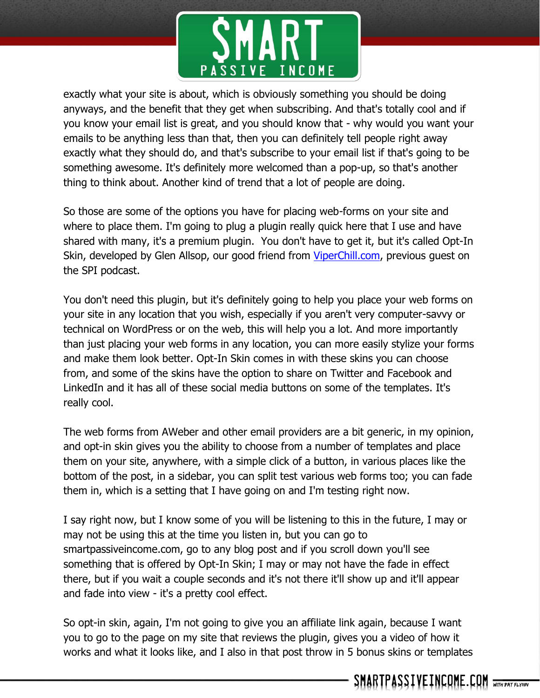

exactly what your site is about, which is obviously something you should be doing anyways, and the benefit that they get when subscribing. And that's totally cool and if you know your email list is great, and you should know that - why would you want your emails to be anything less than that, then you can definitely tell people right away exactly what they should do, and that's subscribe to your email list if that's going to be something awesome. It's definitely more welcomed than a pop-up, so that's another thing to think about. Another kind of trend that a lot of people are doing.

So those are some of the options you have for placing web-forms on your site and where to place them. I'm going to plug a plugin really quick here that I use and have shared with many, it's a premium plugin. You don't have to get it, but it's called Opt-In Skin, developed by Glen Allsop, our good friend from [ViperChill.com,](http://viperchill.com/) previous guest on the SPI podcast.

You don't need this plugin, but it's definitely going to help you place your web forms on your site in any location that you wish, especially if you aren't very computer-savvy or technical on WordPress or on the web, this will help you a lot. And more importantly than just placing your web forms in any location, you can more easily stylize your forms and make them look better. Opt-In Skin comes in with these skins you can choose from, and some of the skins have the option to share on Twitter and Facebook and LinkedIn and it has all of these social media buttons on some of the templates. It's really cool.

The web forms from AWeber and other email providers are a bit generic, in my opinion, and opt-in skin gives you the ability to choose from a number of templates and place them on your site, anywhere, with a simple click of a button, in various places like the bottom of the post, in a sidebar, you can split test various web forms too; you can fade them in, which is a setting that I have going on and I'm testing right now.

I say right now, but I know some of you will be listening to this in the future, I may or may not be using this at the time you listen in, but you can go to smartpassiveincome.com, go to any blog post and if you scroll down you'll see something that is offered by Opt-In Skin; I may or may not have the fade in effect there, but if you wait a couple seconds and it's not there it'll show up and it'll appear and fade into view - it's a pretty cool effect.

So opt-in skin, again, I'm not going to give you an affiliate link again, because I want you to go to the page on my site that reviews the plugin, gives you a video of how it works and what it looks like, and I also in that post throw in 5 bonus skins or templates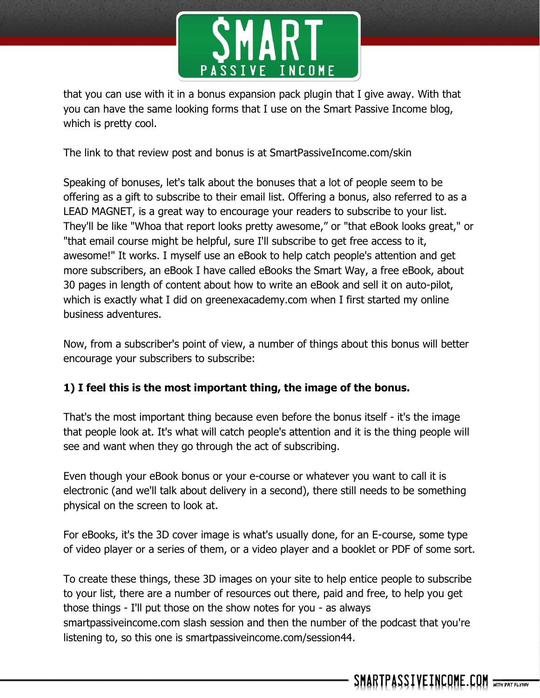

that you can use with it in a bonus expansion pack plugin that I give away. With that you can have the same looking forms that I use on the Smart Passive Income blog, which is pretty cool.

The link to that review post and bonus is at SmartPassiveIncome.com/skin

Speaking of bonuses, let's talk about the bonuses that a lot of people seem to be offering as a gift to subscribe to their email list. Offering a bonus, also referred to as a LEAD MAGNET, is a great way to encourage your readers to subscribe to your list. They'll be like "Whoa that report looks pretty awesome," or "that eBook looks great," or "that email course might be helpful, sure I'll subscribe to get free access to it, awesome!" It works. I myself use an eBook to help catch people's attention and get more subscribers, an eBook I have called eBooks the Smart Way, a free eBook, about 30 pages in length of content about how to write an eBook and sell it on auto-pilot, which is exactly what I did on greenexacademy.com when I first started my online business adventures.

Now, from a subscriber's point of view, a number of things about this bonus will better encourage your subscribers to subscribe:

## **1) I feel this is the most important thing, the image of the bonus.**

That's the most important thing because even before the bonus itself - it's the image that people look at. It's what will catch people's attention and it is the thing people will see and want when they go through the act of subscribing.

Even though your eBook bonus or your e-course or whatever you want to call it is electronic (and we'll talk about delivery in a second), there still needs to be something physical on the screen to look at.

For eBooks, it's the 3D cover image is what's usually done, for an E-course, some type of video player or a series of them, or a video player and a booklet or PDF of some sort.

To create these things, these 3D images on your site to help entice people to subscribe to your list, there are a number of resources out there, paid and free, to help you get those things - I'll put those on the show notes for you - as always smartpassiveincome.com slash session and then the number of the podcast that you're listening to, so this one is smartpassiveincome.com/session44.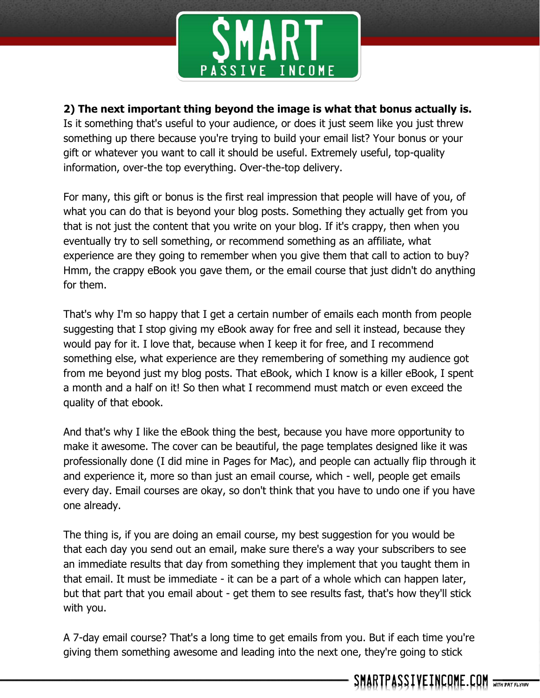

### **2) The next important thing beyond the image is what that bonus actually is.**

Is it something that's useful to your audience, or does it just seem like you just threw something up there because you're trying to build your email list? Your bonus or your gift or whatever you want to call it should be useful. Extremely useful, top-quality information, over-the top everything. Over-the-top delivery.

For many, this gift or bonus is the first real impression that people will have of you, of what you can do that is beyond your blog posts. Something they actually get from you that is not just the content that you write on your blog. If it's crappy, then when you eventually try to sell something, or recommend something as an affiliate, what experience are they going to remember when you give them that call to action to buy? Hmm, the crappy eBook you gave them, or the email course that just didn't do anything for them.

That's why I'm so happy that I get a certain number of emails each month from people suggesting that I stop giving my eBook away for free and sell it instead, because they would pay for it. I love that, because when I keep it for free, and I recommend something else, what experience are they remembering of something my audience got from me beyond just my blog posts. That eBook, which I know is a killer eBook, I spent a month and a half on it! So then what I recommend must match or even exceed the quality of that ebook.

And that's why I like the eBook thing the best, because you have more opportunity to make it awesome. The cover can be beautiful, the page templates designed like it was professionally done (I did mine in Pages for Mac), and people can actually flip through it and experience it, more so than just an email course, which - well, people get emails every day. Email courses are okay, so don't think that you have to undo one if you have one already.

The thing is, if you are doing an email course, my best suggestion for you would be that each day you send out an email, make sure there's a way your subscribers to see an immediate results that day from something they implement that you taught them in that email. It must be immediate - it can be a part of a whole which can happen later, but that part that you email about - get them to see results fast, that's how they'll stick with you.

A 7-day email course? That's a long time to get emails from you. But if each time you're giving them something awesome and leading into the next one, they're going to stick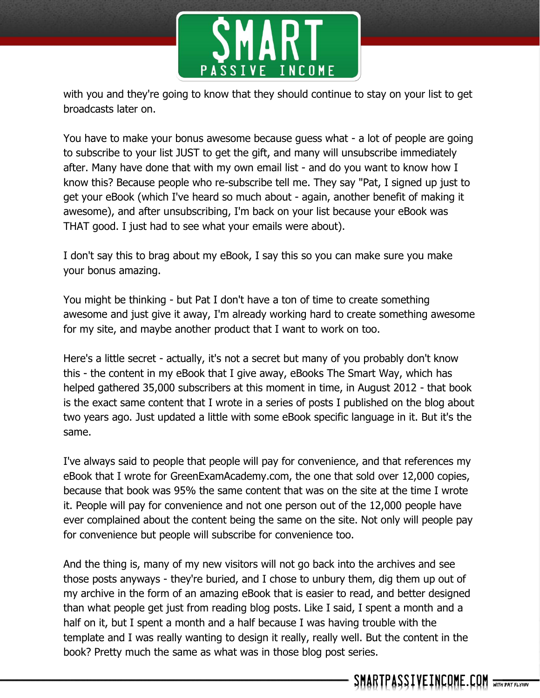

with you and they're going to know that they should continue to stay on your list to get broadcasts later on.

You have to make your bonus awesome because guess what - a lot of people are going to subscribe to your list JUST to get the gift, and many will unsubscribe immediately after. Many have done that with my own email list - and do you want to know how I know this? Because people who re-subscribe tell me. They say "Pat, I signed up just to get your eBook (which I've heard so much about - again, another benefit of making it awesome), and after unsubscribing, I'm back on your list because your eBook was THAT good. I just had to see what your emails were about).

I don't say this to brag about my eBook, I say this so you can make sure you make your bonus amazing.

You might be thinking - but Pat I don't have a ton of time to create something awesome and just give it away, I'm already working hard to create something awesome for my site, and maybe another product that I want to work on too.

Here's a little secret - actually, it's not a secret but many of you probably don't know this - the content in my eBook that I give away, eBooks The Smart Way, which has helped gathered 35,000 subscribers at this moment in time, in August 2012 - that book is the exact same content that I wrote in a series of posts I published on the blog about two years ago. Just updated a little with some eBook specific language in it. But it's the same.

I've always said to people that people will pay for convenience, and that references my eBook that I wrote for GreenExamAcademy.com, the one that sold over 12,000 copies, because that book was 95% the same content that was on the site at the time I wrote it. People will pay for convenience and not one person out of the 12,000 people have ever complained about the content being the same on the site. Not only will people pay for convenience but people will subscribe for convenience too.

And the thing is, many of my new visitors will not go back into the archives and see those posts anyways - they're buried, and I chose to unbury them, dig them up out of my archive in the form of an amazing eBook that is easier to read, and better designed than what people get just from reading blog posts. Like I said, I spent a month and a half on it, but I spent a month and a half because I was having trouble with the template and I was really wanting to design it really, really well. But the content in the book? Pretty much the same as what was in those blog post series.